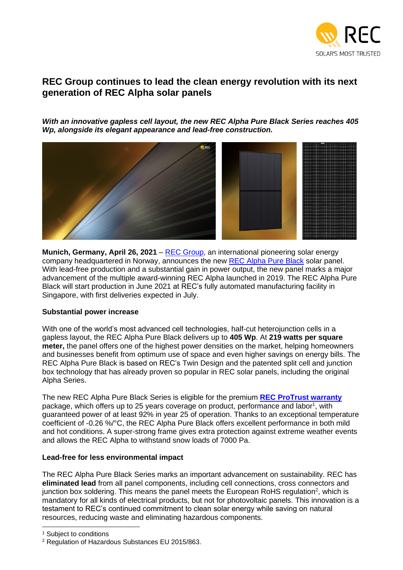

# **REC Group continues to lead the clean energy revolution with its next generation of REC Alpha solar panels**

*With an innovative gapless cell layout, the new REC Alpha Pure Black Series reaches 405 Wp, alongside its elegant appearance and lead-free construction.*



**Munich, Germany, April 26, 2021** – [REC Group,](https://www.recgroup.com/?utm_source=PR&utm_medium=Press%20Release&utm_campaign=Alpha%20Pure%20Black) an international pioneering solar energy company headquartered in Norway, announces the new [REC Alpha Pure Black](http://www.recgroup.com/alpha?utm_source=PR&utm_medium=Press%20Release&utm_campaign=Alpha%20Pure%20Black) solar panel. With lead-free production and a substantial gain in power output, the new panel marks a major advancement of the multiple award-winning REC Alpha launched in 2019. The REC Alpha Pure Black will start production in June 2021 at REC's fully automated manufacturing facility in Singapore, with first deliveries expected in July.

#### **Substantial power increase**

With one of the world's most advanced cell technologies, half-cut heterojunction cells in a gapless layout, the REC Alpha Pure Black delivers up to **405 Wp**. At **219 watts per square meter,** the panel offers one of the highest power densities on the market, helping homeowners and businesses benefit from optimum use of space and even higher savings on energy bills. The REC Alpha Pure Black is based on REC's Twin Design and the patented split cell and junction box technology that has already proven so popular in REC solar panels, including the original Alpha Series.

The new REC Alpha Pure Black Series is eligible for the premium **[REC ProTrust warranty](https://www.recgroup.com/en/premium-quality-empowering-warranty?utm_source=PR&utm_medium=Press%20Release&utm_campaign=Alpha%20Pure%20Black)** package, which offers up to 25 years coverage on product, performance and labor<sup>1</sup>, with guaranteed power of at least 92% in year 25 of operation. Thanks to an exceptional temperature coefficient of -0.26 %/°C, the REC Alpha Pure Black offers excellent performance in both mild and hot conditions. A super-strong frame gives extra protection against extreme weather events and allows the REC Alpha to withstand snow loads of 7000 Pa.

# **Lead-free for less environmental impact**

The REC Alpha Pure Black Series marks an important advancement on sustainability. REC has **eliminated lead** from all panel components, including cell connections, cross connectors and junction box soldering. This means the panel meets the European RoHS regulation<sup>2</sup>, which is mandatory for all kinds of electrical products, but not for photovoltaic panels. This innovation is a testament to REC's continued commitment to clean solar energy while saving on natural resources, reducing waste and eliminating hazardous components.

<sup>&</sup>lt;sup>1</sup> Subject to conditions

<sup>2</sup> Regulation of Hazardous Substances EU 2015/863.